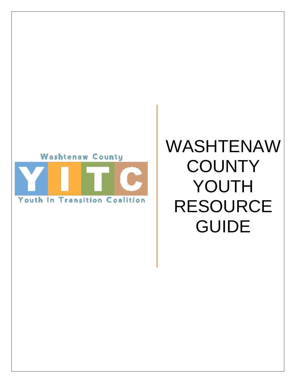

# WASHTENAW **COUNTY** YOUTH RESOURCE GUIDE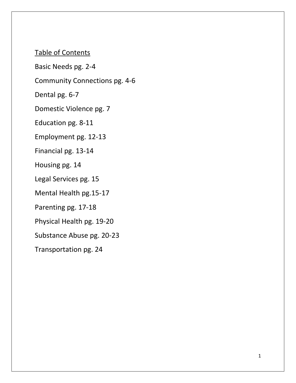Table of Contents

Basic Needs pg. 2-4

Community Connections pg. 4-6

Dental pg. 6-7

Domestic Violence pg. 7

Education pg. 8-11

Employment pg. 12-13

Financial pg. 13-14

Housing pg. 14

Legal Services pg. 15

Mental Health pg.15-17

Parenting pg. 17-18

Physical Health pg. 19-20

Substance Abuse pg. 20-23

Transportation pg. 24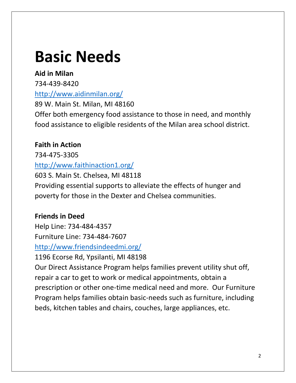# **Basic Needs**

# **Aid in Milan**

734-439-8420

# <http://www.aidinmilan.org/>

89 W. Main St. Milan, MI 48160 Offer both emergency food assistance to those in need, and monthly food assistance to eligible residents of the Milan area school district.

# **Faith in Action**

734-475-3305 <http://www.faithinaction1.org/>

603 S. Main St. Chelsea, MI 48118 Providing essential supports to alleviate the effects of hunger and poverty for those in the Dexter and Chelsea communities.

# **Friends in Deed**

Help Line: 734-484-4357 Furniture Line: 734-484-7607

<http://www.friendsindeedmi.org/>

1196 Ecorse Rd, Ypsilanti, MI 48198

Our Direct Assistance Program helps families prevent utility shut off, repair a car to get to work or medical appointments, obtain a prescription or other one-time medical need and more. Our Furniture Program helps families obtain basic-needs such as furniture, including beds, kitchen tables and chairs, couches, large appliances, etc.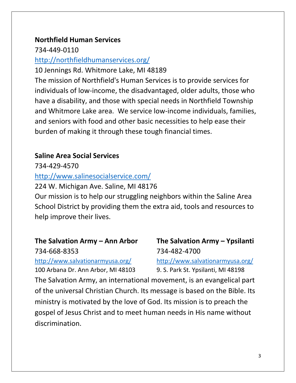## **Northfield Human Services**

734-449-0110

## <http://northfieldhumanservices.org/>

10 Jennings Rd. Whitmore Lake, MI 48189

The mission of Northfield's Human Services is to provide services for individuals of low-income, the disadvantaged, older adults, those who have a disability, and those with special needs in Northfield Township and Whitmore Lake area. We service low-income individuals, families, and seniors with food and other basic necessities to help ease their burden of making it through these tough financial times.

# **Saline Area Social Services**

734-429-4570

<http://www.salinesocialservice.com/>

224 W. Michigan Ave. Saline, MI 48176

Our mission is to help our struggling neighbors within the Saline Area School District by providing them the extra aid, tools and resources to help improve their lives.

# **The Salvation Army – Ann Arbor The Salvation Army – Ypsilanti**

734-668-8353 734-482-4700 <http://www.salvationarmyusa.org/> <http://www.salvationarmyusa.org/>

100 Arbana Dr. Ann Arbor, MI 48103 9. S. Park St. Ypsilanti, MI 48198

The Salvation Army, an international movement, is an evangelical part of the universal Christian Church. Its message is based on the Bible. Its ministry is motivated by the love of God. Its mission is to preach the gospel of Jesus Christ and to meet human needs in His name without discrimination.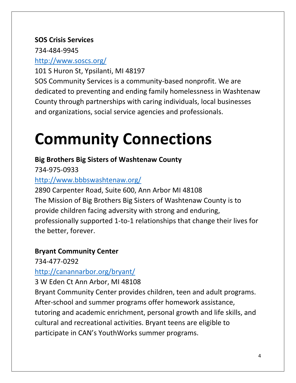## **SOS Crisis Services**

734-484-9945

# <http://www.soscs.org/>

101 S Huron St, Ypsilanti, MI 48197

SOS Community Services is a community-based nonprofit. We are dedicated to preventing and ending family homelessness in Washtenaw County through partnerships with caring individuals, local businesses and organizations, social service agencies and professionals.

# **Community Connections**

# **Big Brothers Big Sisters of Washtenaw County**

734-975-0933

# <http://www.bbbswashtenaw.org/>

2890 Carpenter Road, Suite 600, Ann Arbor MI 48108 The Mission of Big Brothers Big Sisters of Washtenaw County is to provide children facing adversity with strong and enduring, professionally supported 1-to-1 relationships that change their lives for the better, forever.

# **Bryant Community Center**

734-477-0292

# <http://canannarbor.org/bryant/>

3 W Eden Ct Ann Arbor, MI 48108

Bryant Community Center provides children, teen and adult programs. After-school and summer programs offer homework assistance, tutoring and academic enrichment, personal growth and life skills, and cultural and recreational activities. Bryant teens are eligible to participate in CAN's YouthWorks summer programs.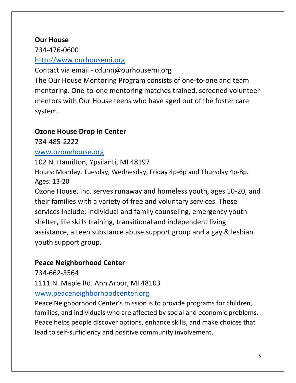## **Our House**

734-476-0600

## [http://www.ourhousemi.org](http://www.ourhousemi.org/)

Contact via email - cdunn@ourhousemi.org The Our House Mentoring Program consists of one-to-one and team mentoring. One-to-one mentoring matches trained, screened volunteer mentors with Our House teens who have aged out of the foster care system.

# **Ozone House Drop In Center**

734-485-2222

## [www.ozonehouse.org](http://www.ozonehouse.org/)

102 N. Hamilton, Ypsilanti, MI 48197 Hours: Monday, Tuesday, Wednesday, Friday 4p-6p and Thursday 4p-8p. Ages: 13-20

Ozone House, Inc. serves runaway and homeless youth, ages 10-20, and their families with a variety of free and voluntary services. These services include: individual and family counseling, emergency youth shelter, life skills training, transitional and independent living assistance, a teen substance abuse support group and a gay & lesbian youth support group.

# **Peace Neighborhood Center**

734-662-3564

1111 N. Maple Rd. Ann Arbor, MI 48103

# [www.peaceneighborhoodcenter.org](http://www.peaceneighborhoodcenter.org/)

Peace Neighborhood Center's mission is to provide programs for children, families, and individuals who are affected by social and economic problems. Peace helps people discover options, enhance skills, and make choices that lead to self-sufficiency and positive community involvement.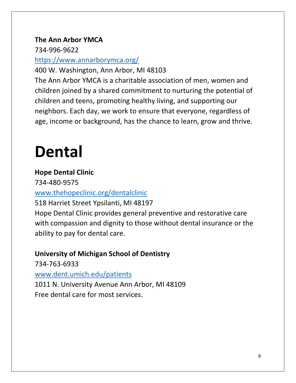## **The Ann Arbor YMCA**

734-996-9622

## <https://www.annarborymca.org/>

400 W. Washington, Ann Arbor, MI 48103

The Ann Arbor YMCA is a charitable association of men, women and children joined by a shared commitment to nurturing the potential of children and teens, promoting healthy living, and supporting our neighbors. Each day, we work to ensure that everyone, regardless of age, income or background, has the chance to learn, grow and thrive.

# **Dental**

# **Hope Dental Clinic**

734-480-9575

# [www.thehopeclinic.org/dentalclinic](http://www.thehopeclinic.org/dentalclinic)

518 Harriet Street Ypsilanti, MI 48197

Hope Dental Clinic provides general preventive and restorative care with compassion and dignity to those without dental insurance or the ability to pay for dental care.

# **University of Michigan School of Dentistry**

734-763-6933 [www.dent.umich.edu/patients](http://www.dent.umich.edu/patients) 1011 N. University Avenue Ann Arbor, MI 48109 Free dental care for most services.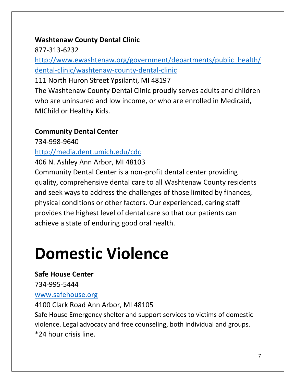## **Washtenaw County Dental Clinic**

877-313-6232

[http://www.ewashtenaw.org/government/departments/public\\_health/](http://www.ewashtenaw.org/government/departments/public_health/dental-clinic/washtenaw-county-dental-clinic) [dental-clinic/washtenaw-county-dental-clinic](http://www.ewashtenaw.org/government/departments/public_health/dental-clinic/washtenaw-county-dental-clinic)

111 North Huron Street Ypsilanti, MI 48197

The Washtenaw County Dental Clinic proudly serves adults and children who are uninsured and low income, or who are enrolled in Medicaid, MIChild or Healthy Kids.

# **Community Dental Center**

734-998-9640 <http://media.dent.umich.edu/cdc>

406 N. Ashley Ann Arbor, MI 48103

Community Dental Center is a non-profit dental center providing quality, comprehensive dental care to all Washtenaw County residents and seek ways to address the challenges of those limited by finances, physical conditions or other factors. Our experienced, caring staff provides the highest level of dental care so that our patients can achieve a state of enduring good oral health.

# **Domestic Violence**

# **Safe House Center**

734-995-5444

## [www.safehouse.org](http://www.safehouse.org/)

4100 Clark Road Ann Arbor, MI 48105

Safe House Emergency shelter and support services to victims of domestic violence. Legal advocacy and free counseling, both individual and groups. \*24 hour crisis line.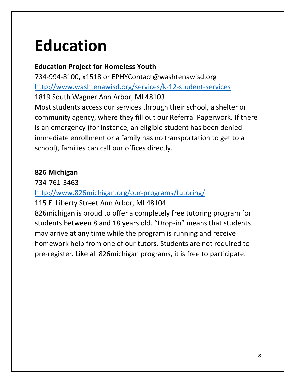# **Education**

# **Education Project for Homeless Youth**

734-994-8100, x1518 or EPHYContact@washtenawisd.org <http://www.washtenawisd.org/services/k-12-student-services> 1819 South Wagner Ann Arbor, MI 48103 Most students access our services through their school, a shelter or community agency, where they fill out our Referral Paperwork. If there is an emergency (for instance, an eligible student has been denied immediate enrollment or a family has no transportation to get to a school), families can call our offices directly.

## **826 Michigan**

734-761-3463

# <http://www.826michigan.org/our-programs/tutoring/>

115 E. Liberty Street Ann Arbor, MI 48104

826michigan is proud to offer a completely free tutoring program for students between 8 and 18 years old. "Drop-in" means that students may arrive at any time while the program is running and receive homework help from one of our tutors. Students are not required to pre-register. Like all 826michigan programs, it is free to participate.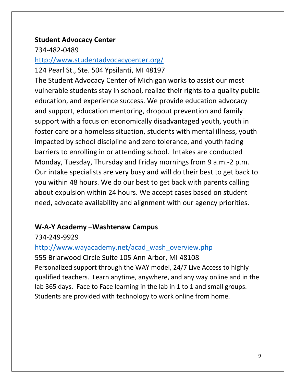## **Student Advocacy Center**

734-482-0489

## <http://www.studentadvocacycenter.org/>

124 Pearl St., Ste. 504 Ypsilanti, MI 48197

The Student Advocacy Center of Michigan works to assist our most vulnerable students stay in school, realize their rights to a quality public education, and experience success. We provide education advocacy and support, education mentoring, dropout prevention and family support with a focus on economically disadvantaged youth, youth in foster care or a homeless situation, students with mental illness, youth impacted by school discipline and zero tolerance, and youth facing barriers to enrolling in or attending school. Intakes are conducted Monday, Tuesday, Thursday and Friday mornings from 9 a.m.-2 p.m. Our intake specialists are very busy and will do their best to get back to you within 48 hours. We do our best to get back with parents calling about expulsion within 24 hours. We accept cases based on student need, advocate availability and alignment with our agency priorities.

## **W-A-Y Academy –Washtenaw Campus**

734-249-9929

[http://www.wayacademy.net/acad\\_wash\\_overview.php](http://www.wayacademy.net/acad_wash_overview.php) 555 Briarwood Circle Suite 105 Ann Arbor, MI 48108 Personalized support through the WAY model, 24/7 Live Access to highly qualified teachers. Learn anytime, anywhere, and any way online and in the lab 365 days. Face to Face learning in the lab in 1 to 1 and small groups. Students are provided with technology to work online from home.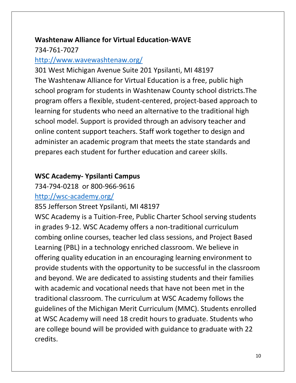# **Washtenaw Alliance for Virtual Education-WAVE**

## 734-761-7027

## <http://www.wavewashtenaw.org/>

301 West Michigan Avenue Suite 201 Ypsilanti, MI 48197 The Washtenaw Alliance for Virtual Education is a free, public high school program for students in Washtenaw County school districts.The program offers a flexible, student-centered, project-based approach to learning for students who need an alternative to the traditional high school model. Support is provided through an advisory teacher and online content support teachers. Staff work together to design and administer an academic program that meets the state standards and prepares each student for further education and career skills.

## **WSC Academy- Ypsilanti Campus**

# 734-794-0218 or 800-966-9616 <http://wsc-academy.org/>

855 Jefferson Street Ypsilanti, MI 48197

WSC Academy is a Tuition-Free, Public Charter School serving students in grades 9-12. WSC Academy offers a non-traditional curriculum combing online courses, teacher led class sessions, and Project Based Learning (PBL) in a technology enriched classroom. We believe in offering quality education in an encouraging learning environment to provide students with the opportunity to be successful in the classroom and beyond. We are dedicated to assisting students and their families with academic and vocational needs that have not been met in the traditional classroom. The curriculum at WSC Academy follows the guidelines of the Michigan Merit Curriculum (MMC). Students enrolled at WSC Academy will need 18 credit hours to graduate. Students who are college bound will be provided with guidance to graduate with 22 credits.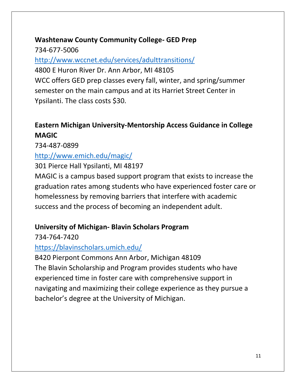# **Washtenaw County Community College- GED Prep**

734-677-5006

<http://www.wccnet.edu/services/adulttransitions/>

4800 E Huron River Dr. Ann Arbor, MI 48105 WCC offers GED prep classes every fall, winter, and spring/summer semester on the main campus and at its Harriet Street Center in Ypsilanti. The class costs \$30.

# **Eastern Michigan University-Mentorship Access Guidance in College MAGIC**

734-487-0899

# <http://www.emich.edu/magic/>

301 Pierce Hall Ypsilanti, MI 48197

MAGIC is a campus based support program that exists to increase the graduation rates among students who have experienced foster care or homelessness by removing barriers that interfere with academic success and the process of becoming an independent adult.

# **University of Michigan- Blavin Scholars Program**

734-764-7420

# <https://blavinscholars.umich.edu/>

B420 Pierpont Commons Ann Arbor, Michigan 48109 The Blavin Scholarship and Program provides students who have experienced time in foster care with comprehensive support in navigating and maximizing their college experience as they pursue a bachelor's degree at the University of Michigan.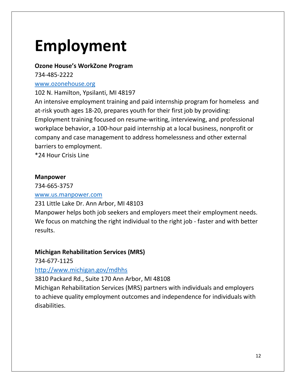# **Employment**

#### **Ozone House's WorkZone Program**

734-485-2222

#### [www.ozonehouse.org](http://www.ozonehouse.org/)

102 N. Hamilton, Ypsilanti, MI 48197

An intensive employment training and paid internship program for homeless and at-risk youth ages 18-20, prepares youth for their first job by providing: Employment training focused on resume-writing, interviewing, and professional workplace behavior, a 100-hour paid internship at a local business, nonprofit or company and case management to address homelessness and other external barriers to employment.

\*24 Hour Crisis Line

#### **Manpower**

## 734-665-3757

#### [www.us.manpower.com](http://www.us.manpower.com/)

231 Little Lake Dr. Ann Arbor, MI 48103

Manpower helps both job seekers and employers meet their employment needs. We focus on matching the right individual to the right job - faster and with better results.

#### **Michigan Rehabilitation Services (MRS)**

734-677-1125

#### <http://www.michigan.gov/mdhhs>

3810 Packard Rd., Suite 170 Ann Arbor, MI 48108

Michigan Rehabilitation Services (MRS) partners with individuals and employers to achieve quality employment outcomes and independence for individuals with disabilities.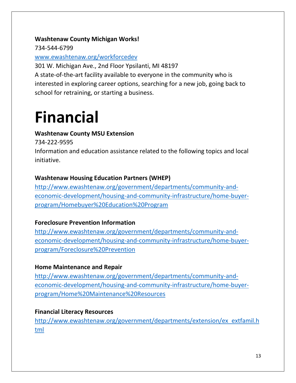#### **Washtenaw County Michigan Works!**

734-544-6799

[www.ewashtenaw.org/workforcedev](http://www.ewashtenaw.org/workforcedev)

301 W. Michigan Ave., 2nd Floor Ypsilanti, MI 48197 A state-of-the-art facility available to everyone in the community who is interested in exploring career options, searching for a new job, going back to school for retraining, or starting a business.

# **Financial**

## **Washtenaw County MSU Extension**

734-222-9595

Information and education assistance related to the following topics and local initiative.

## **Washtenaw Housing Education Partners (WHEP)**

[http://www.ewashtenaw.org/government/departments/community-and](http://www.ewashtenaw.org/government/departments/community-and-economic-development/housing-and-community-infrastructure/home-buyer-program/Homebuyer%20Education%20Program)[economic-development/housing-and-community-infrastructure/home-buyer](http://www.ewashtenaw.org/government/departments/community-and-economic-development/housing-and-community-infrastructure/home-buyer-program/Homebuyer%20Education%20Program)[program/Homebuyer%20Education%20Program](http://www.ewashtenaw.org/government/departments/community-and-economic-development/housing-and-community-infrastructure/home-buyer-program/Homebuyer%20Education%20Program)

## **Foreclosure Prevention Information**

[http://www.ewashtenaw.org/government/departments/community-and](http://www.ewashtenaw.org/government/departments/community-and-economic-development/housing-and-community-infrastructure/home-buyer-program/Foreclosure%20Prevention)[economic-development/housing-and-community-infrastructure/home-buyer](http://www.ewashtenaw.org/government/departments/community-and-economic-development/housing-and-community-infrastructure/home-buyer-program/Foreclosure%20Prevention)[program/Foreclosure%20Prevention](http://www.ewashtenaw.org/government/departments/community-and-economic-development/housing-and-community-infrastructure/home-buyer-program/Foreclosure%20Prevention)

## **Home Maintenance and Repair**

[http://www.ewashtenaw.org/government/departments/community-and](http://www.ewashtenaw.org/government/departments/community-and-economic-development/housing-and-community-infrastructure/home-buyer-program/Home%20Maintenance%20Resources)[economic-development/housing-and-community-infrastructure/home-buyer](http://www.ewashtenaw.org/government/departments/community-and-economic-development/housing-and-community-infrastructure/home-buyer-program/Home%20Maintenance%20Resources)[program/Home%20Maintenance%20Resources](http://www.ewashtenaw.org/government/departments/community-and-economic-development/housing-and-community-infrastructure/home-buyer-program/Home%20Maintenance%20Resources)

## **Financial Literacy Resources**

[http://www.ewashtenaw.org/government/departments/extension/ex\\_extfamil.h](http://www.ewashtenaw.org/government/departments/extension/ex_extfamil.html) [tml](http://www.ewashtenaw.org/government/departments/extension/ex_extfamil.html)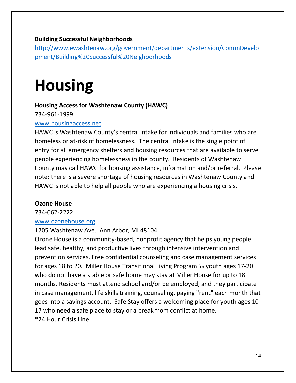#### **Building Successful Neighborhoods**

[http://www.ewashtenaw.org/government/departments/extension/CommDevelo](http://www.ewashtenaw.org/government/departments/extension/CommDevelopment/Building%20Successful%20Neighborhoods) [pment/Building%20Successful%20Neighborhoods](http://www.ewashtenaw.org/government/departments/extension/CommDevelopment/Building%20Successful%20Neighborhoods)

# **Housing**

#### **Housing Access for Washtenaw County (HAWC)**

734-961-1999

#### [www.housingaccess.net](http://www.housingaccess.net/)

HAWC is Washtenaw County's central intake for individuals and families who are homeless or at-risk of homelessness. The central intake is the single point of entry for all emergency shelters and housing resources that are available to serve people experiencing homelessness in the county. Residents of Washtenaw County may call HAWC for housing assistance, information and/or referral. Please note: there is a severe shortage of housing resources in Washtenaw County and HAWC is not able to help all people who are experiencing a housing crisis.

#### **Ozone House**

734-662-2222 [www.ozonehouse.org](http://www.ozonehouse.org/)

#### 1705 Washtenaw Ave., Ann Arbor, MI 48104

Ozone House is a community-based, nonprofit agency that helps young people lead safe, healthy, and productive lives through intensive intervention and prevention services. Free confidential counseling and case management services for ages 18 to 20. Miller House Transitional Living Program for youth ages 17-20 who do not have a stable or safe home may stay at Miller House for up to 18 months. Residents must attend school and/or be employed, and they participate in case management, life skills training, counseling, paying "rent" each month that goes into a savings account. Safe Stay offers a welcoming place for youth ages 10- 17 who need a safe place to stay or a break from conflict at home. \*24 Hour Crisis Line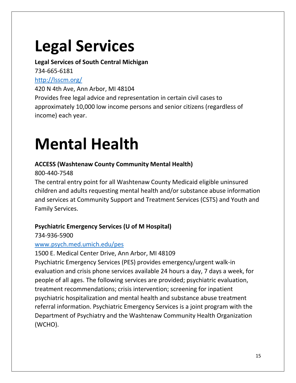# **Legal Services**

#### **Legal Services of South Central Michigan** 734-665-6181

## <http://lsscm.org/>

420 N 4th Ave, Ann Arbor, MI 48104 Provides free legal advice and representation in certain civil cases to approximately 10,000 low income persons and senior citizens (regardless of income) each year.

# **Mental Health**

## **ACCESS (Washtenaw County Community Mental Health)**

800-440-7548

The central entry point for all Washtenaw County Medicaid eligible uninsured children and adults requesting mental health and/or substance abuse information and services at Community Support and Treatment Services (CSTS) and Youth and Family Services.

## **Psychiatric Emergency Services (U of M Hospital)**

734-936-5900

## [www.psych.med.umich.edu/pes](http://www.psych.med.umich.edu/pes)

1500 E. Medical Center Drive, Ann Arbor, MI 48109

Psychiatric Emergency Services (PES) provides emergency/urgent walk-in evaluation and crisis phone services available 24 hours a day, 7 days a week, for people of all ages. The following services are provided; psychiatric evaluation, treatment recommendations; crisis intervention; screening for inpatient psychiatric hospitalization and mental health and substance abuse treatment referral information. Psychiatric Emergency Services is a joint program with the Department of Psychiatry and the Washtenaw Community Health Organization (WCHO).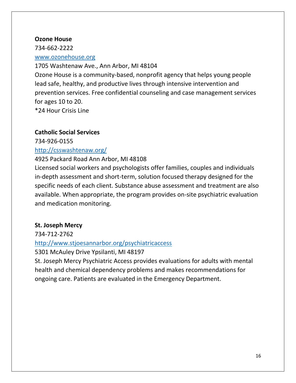#### **Ozone House**

734-662-2222

#### [www.ozonehouse.org](http://www.ozonehouse.org/)

#### 1705 Washtenaw Ave., Ann Arbor, MI 48104

Ozone House is a community-based, nonprofit agency that helps young people lead safe, healthy, and productive lives through intensive intervention and prevention services. Free confidential counseling and case management services for ages 10 to 20.

\*24 Hour Crisis Line

#### **Catholic Social Services**

734-926-0155 <http://csswashtenaw.org/>

## 4925 Packard Road Ann Arbor, MI 48108

Licensed social workers and psychologists offer families, couples and individuals in-depth assessment and short-term, solution focused therapy designed for the specific needs of each client. Substance abuse assessment and treatment are also available. When appropriate, the program provides on-site psychiatric evaluation and medication monitoring.

## **St. Joseph Mercy**

734-712-2762

#### <http://www.stjoesannarbor.org/psychiatricaccess>

5301 McAuley Drive Ypsilanti, MI 48197

St. Joseph Mercy Psychiatric Access provides evaluations for adults with mental health and chemical dependency problems and makes recommendations for ongoing care. Patients are evaluated in the Emergency Department.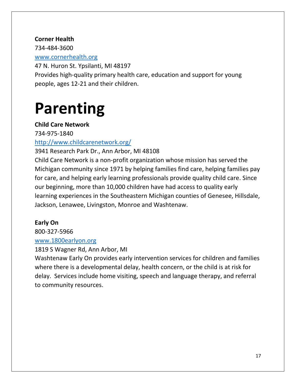#### **Corner Health**

734-484-3600

#### [www.cornerhealth.org](http://www.cornerhealth.org/)

47 N. Huron St. Ypsilanti, MI 48197 Provides high-quality primary health care, education and support for young people, ages 12-21 and their children.

# **Parenting**

### **Child Care Network**

734-975-1840

<http://www.childcarenetwork.org/>

3941 Research Park Dr., Ann Arbor, MI 48108

Child Care Network is a non-profit organization whose mission has served the Michigan community since 1971 by helping families find care, helping families pay for care, and helping early learning professionals provide quality child care. Since our beginning, more than 10,000 children have had access to quality early learning experiences in the Southeastern Michigan counties of Genesee, Hillsdale, Jackson, Lenawee, Livingston, Monroe and Washtenaw.

## **Early On**

800-327-5966

#### [www.1800earlyon.org](http://www.1800earlyon.org/)

1819 S Wagner Rd, Ann Arbor, MI

Washtenaw Early On provides early intervention services for children and families where there is a developmental delay, health concern, or the child is at risk for delay. Services include home visiting, speech and language therapy, and referral to community resources.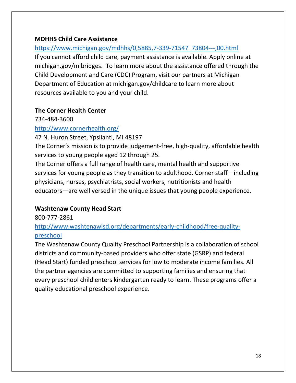#### **MDHHS Child Care Assistance**

#### [https://www.michigan.gov/mdhhs/0,5885,7-339-71547\\_73804---,00.html](https://www.michigan.gov/mdhhs/0,5885,7-339-71547_73804---,00.html)

If you cannot afford child care, payment assistance is available. Apply online at michigan.gov/mibridges. To learn more about the assistance offered through the Child Development and Care (CDC) Program, visit our partners at Michigan Department of Education at michigan.gov/childcare to learn more about resources available to you and your child.

#### **The Corner Health Center**

734-484-3600

#### <http://www.cornerhealth.org/>

47 N. Huron Street, Ypsilanti, MI 48197

The Corner's mission is to provide judgement-free, high-quality, affordable health services to young people aged 12 through 25.

The Corner offers a full range of health care, mental health and supportive services for young people as they transition to adulthood. Corner staff—including physicians, nurses, psychiatrists, social workers, nutritionists and health educators—are well versed in the unique issues that young people experience.

#### **Washtenaw County Head Start**

800-777-2861

### [http://www.washtenawisd.org/departments/early-childhood/free-quality](http://www.washtenawisd.org/departments/early-childhood/free-quality-preschool)[preschool](http://www.washtenawisd.org/departments/early-childhood/free-quality-preschool)

The Washtenaw County Quality Preschool Partnership is a collaboration of school districts and community-based providers who offer state (GSRP) and federal (Head Start) funded preschool services for low to moderate income families. All the partner agencies are committed to supporting families and ensuring that every preschool child enters kindergarten ready to learn. These programs offer a quality educational preschool experience.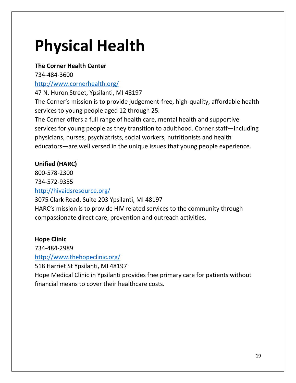# **Physical Health**

### **The Corner Health Center**

734-484-3600

### <http://www.cornerhealth.org/>

47 N. Huron Street, Ypsilanti, MI 48197

The Corner's mission is to provide judgement-free, high-quality, affordable health services to young people aged 12 through 25.

The Corner offers a full range of health care, mental health and supportive services for young people as they transition to adulthood. Corner staff—including physicians, nurses, psychiatrists, social workers, nutritionists and health educators—are well versed in the unique issues that young people experience.

## **Unified (HARC)**

800-578-2300

734-572-9355

<http://hivaidsresource.org/>

3075 Clark Road, Suite 203 Ypsilanti, MI 48197

HARC's mission is to provide HIV related services to the community through compassionate direct care, prevention and outreach activities.

#### **Hope Clinic**

734-484-2989

## <http://www.thehopeclinic.org/>

518 Harriet St Ypsilanti, MI 48197

Hope Medical Clinic in Ypsilanti provides free primary care for patients without financial means to cover their healthcare costs.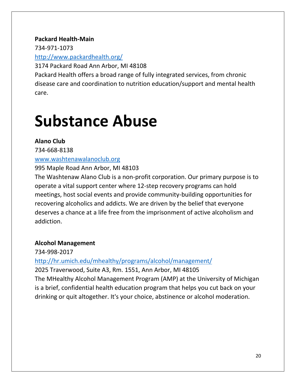#### **Packard Health-Main**

734-971-1073

<http://www.packardhealth.org/>

3174 Packard Road Ann Arbor, MI 48108

Packard Health offers a broad range of fully integrated services, from chronic disease care and coordination to nutrition education/support and mental health care.

# **Substance Abuse**

### **Alano Club**

734-668-8138

#### [www.washtenawalanoclub.org](http://www.washtenawalanoclub.org/)

995 Maple Road Ann Arbor, MI 48103

The Washtenaw Alano Club is a non-profit corporation. Our primary purpose is to operate a vital support center where 12-step recovery programs can hold meetings, host social events and provide community-building opportunities for recovering alcoholics and addicts. We are driven by the belief that everyone deserves a chance at a life free from the imprisonment of active alcoholism and addiction.

## **Alcohol Management**

734-998-2017

<http://hr.umich.edu/mhealthy/programs/alcohol/management/>

2025 Traverwood, Suite A3, Rm. 1551, Ann Arbor, MI 48105 The MHealthy Alcohol Management Program (AMP) at the University of Michigan is a brief, confidential health education program that helps you cut back on your drinking or quit altogether. It's your choice, abstinence or alcohol moderation.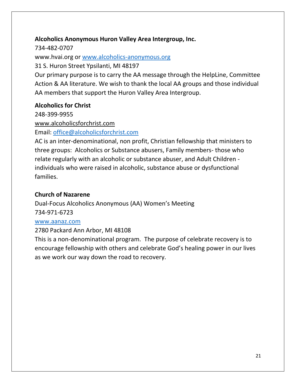#### **Alcoholics Anonymous Huron Valley Area Intergroup, Inc.**

734-482-0707 www.hvai.org or [www.alcoholics-anonymous.org](http://www.alcoholics-anonymous.org/)

31 S. Huron Street Ypsilanti, MI 48197

Our primary purpose is to carry the AA message through the HelpLine, Committee Action & AA literature. We wish to thank the local AA groups and those individual AA members that support the Huron Valley Area Intergroup.

#### **Alcoholics for Christ**

248-399-9955

[www.alcoholicsforchrist.com](http://www.alcoholicsforchrist.com/)

Email: [office@alcoholicsforchrist.com](mailto:office@alcoholicsforchrist.com)

AC is an inter-denominational, non profit, Christian fellowship that ministers to three groups: Alcoholics or Substance abusers, Family members- those who relate regularly with an alcoholic or substance abuser, and Adult Children individuals who were raised in alcoholic, substance abuse or dysfunctional families.

#### **Church of Nazarene**

Dual-Focus Alcoholics Anonymous (AA) Women's Meeting 734-971-6723

#### [www.aanaz.com](http://www.aanaz.com/)

2780 Packard Ann Arbor, MI 48108

This is a non-denominational program. The purpose of celebrate recovery is to encourage fellowship with others and celebrate God's healing power in our lives as we work our way down the road to recovery.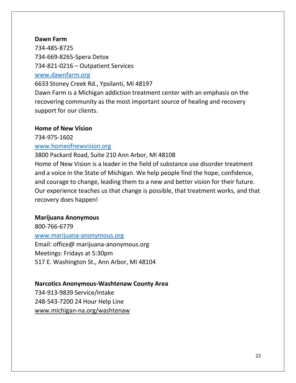#### **Dawn Farm**

734-485-8725 734-669-8265-Spera Detox 734-821-0216 – Outpatient Services [www.dawnfarm.org](http://www.dawnfarm.org/)

6633 Stoney Creek Rd., Ypsilanti, MI 48197

Dawn Farm is a Michigan addiction treatment center with an emphasis on the recovering community as the most important source of healing and recovery support for our clients.

#### **Home of New Vision**

734-975-1602

#### [www.homeofnewvision.org](http://www.homeofnewvision.org/)

3800 Packard Road, Suite 210 Ann Arbor, MI 48108 Home of New Vision is a leader in the field of substance use disorder treatment and a voice in the State of Michigan. We help people find the hope, confidence, and courage to change, leading them to a new and better vision for their future. Our experience teaches us that change is possible, that treatment works, and that recovery does happen!

#### **Marijuana Anonymous**

800-766-6779 [www.marijuana-anonymous.org](http://www.marijuana-anonymous.org/) Email: office@ marijuana-anonymous.org Meetings: Fridays at 5:30pm 517 E. Washington St., Ann Arbor, MI 48104

#### **Narcotics Anonymous-Washtenaw County Area**

734-913-9839 Service/Intake 248-543-7200 24 Hour Help Line [www.michigan-na.org/washtenaw](http://www.michigan-na.org/washtenaw)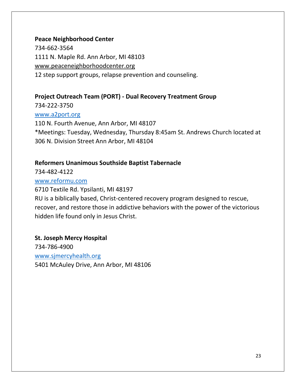#### **Peace Neighborhood Center**

734-662-3564 1111 N. Maple Rd. Ann Arbor, MI 48103 [www.peaceneighborhoodcenter.org](http://www.peaceneighborhoodcenter.org/) 12 step support groups, relapse prevention and counseling.

#### **Project Outreach Team (PORT) - Dual Recovery Treatment Group**

734-222-3750 [www.a2port.org](http://www.a2port.org/) 110 N. Fourth Avenue, Ann Arbor, MI 48107 \*Meetings: Tuesday, Wednesday, Thursday 8:45am St. Andrews Church located at 306 N. Division Street Ann Arbor, MI 48104

#### **Reformers Unanimous Southside Baptist Tabernacle**

734-482-4122

#### [www.reformu.com](http://www.reformu.com/)

6710 Textile Rd. Ypsilanti, MI 48197 RU is a biblically based, Christ-centered recovery program designed to rescue, recover, and restore those in addictive behaviors with the power of the victorious hidden life found only in Jesus Christ.

## **St. Joseph Mercy Hospital** 734-786-4900 [www.sjmercyhealth.org](http://www.sjmercyhealth.org/) 5401 McAuley Drive, Ann Arbor, MI 48106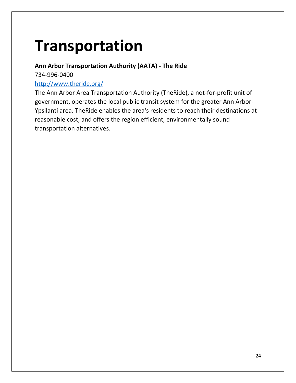# **Transportation**

### **Ann Arbor Transportation Authority (AATA) - The Ride**

734-996-0400

#### <http://www.theride.org/>

The Ann Arbor Area Transportation Authority (TheRide), a not-for-profit unit of government, operates the local public transit system for the greater Ann Arbor-Ypsilanti area. TheRide enables the area's residents to reach their destinations at reasonable cost, and offers the region efficient, environmentally sound transportation alternatives.